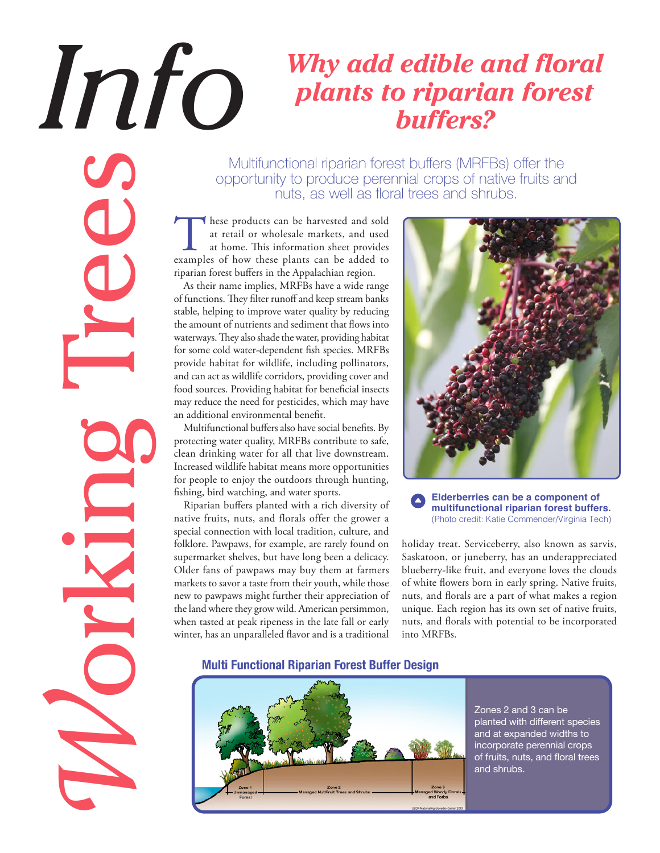## *Informal Plants to riparian forest plants to riparian forest plants to riparian forest buffers?*

Multifunctional riparian forest buffers (MRFBs) offer the opportunity to produce perennial crops of native fruits and nuts, as well as floral trees and shrubs.

These products can be harvested and sold<br>at retail or wholesale markets, and used<br>at home. This information sheet provides<br>examples of how these plants can be added to at retail or wholesale markets, and used at home. This information sheet provides riparian forest buffers in the Appalachian region.

As their name implies, MRFBs have a wide range of functions. They filter runoff and keep stream banks stable, helping to improve water quality by reducing the amount of nutrients and sediment that flows into waterways. They also shade the water, providing habitat for some cold water-dependent fish species. MRFBs provide habitat for wildlife, including pollinators, and can act as wildlife corridors, providing cover and food sources. Providing habitat for beneficial insects may reduce the need for pesticides, which may have an additional environmental benefit.

Multifunctional buffers also have social benefits. By protecting water quality, MRFBs contribute to safe, clean drinking water for all that live downstream. Increased wildlife habitat means more opportunities for people to enjoy the outdoors through hunting, fishing, bird watching, and water sports.

*W*[orking Trees](http://nac.unl.edu/Working_Trees/index.htm?utm_source=Infosheet&utm_medium=PDFDownload&utm_campaign=Pollinator)

Riparian buffers planted with a rich diversity of native fruits, nuts, and florals offer the grower a special connection with local tradition, culture, and folklore. Pawpaws, for example, are rarely found on supermarket shelves, but have long been a delicacy. Older fans of pawpaws may buy them at farmers markets to savor a taste from their youth, while those new to pawpaws might further their appreciation of the land where they grow wild. American persimmon, when tasted at peak ripeness in the late fall or early winter, has an unparalleled flavor and is a traditional



## **Elderberries can be a component of multifunctional riparian forest buffers.** (Photo credit: Katie Commender/Virginia Tech)

holiday treat. Serviceberry, also known as sarvis, Saskatoon, or juneberry, has an underappreciated blueberry-like fruit, and everyone loves the clouds of white flowers born in early spring. Native fruits, nuts, and florals are a part of what makes a region unique. Each region has its own set of native fruits, nuts, and florals with potential to be incorporated into MRFBs.

## **Multi Functional Riparian Forest Buffer Design**



Zones 2 and 3 can be planted with different species and at expanded widths to incorporate perennial crops of fruits, nuts, and floral trees and shrubs.